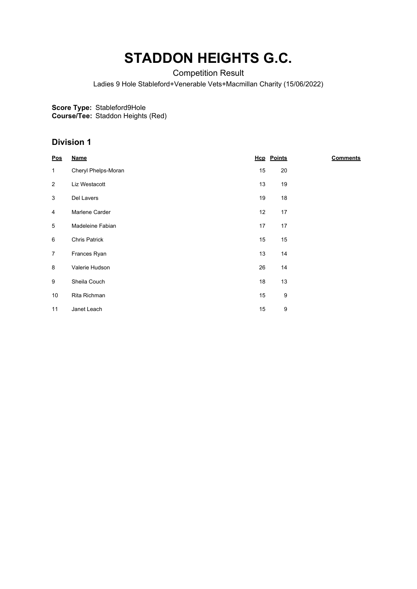# **STADDON HEIGHTS G.C.**

Competition Result

Ladies 9 Hole Stableford+Venerable Vets+Macmillan Charity (15/06/2022)

**Score Type:** Stableford9Hole

**Course/Tee:** Staddon Heights (Red)

### **Division 1**

| $\underline{\mathsf{Pos}}$ | <b>Name</b>          |    | <b>Hcp</b> Points | <b>Comments</b> |
|----------------------------|----------------------|----|-------------------|-----------------|
| $\mathbf{1}$               | Cheryl Phelps-Moran  | 15 | 20                |                 |
| $\overline{2}$             | Liz Westacott        | 13 | 19                |                 |
| 3                          | Del Lavers           | 19 | 18                |                 |
| 4                          | Marlene Carder       | 12 | 17                |                 |
| 5                          | Madeleine Fabian     | 17 | 17                |                 |
| 6                          | <b>Chris Patrick</b> | 15 | 15                |                 |
| $\overline{7}$             | Frances Ryan         | 13 | 14                |                 |
| 8                          | Valerie Hudson       | 26 | 14                |                 |
| 9                          | Sheila Couch         | 18 | 13                |                 |
| 10                         | Rita Richman         | 15 | 9                 |                 |
| 11                         | Janet Leach          | 15 | 9                 |                 |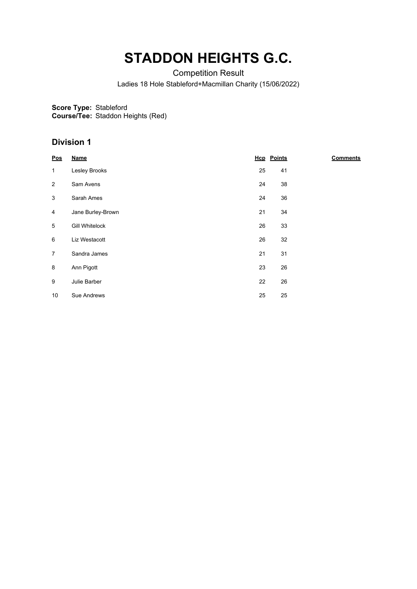# **STADDON HEIGHTS G.C.**

Competition Result

Ladies 18 Hole Stableford+Macmillan Charity (15/06/2022)

**Score Type:** Stableford

**Course/Tee:** Staddon Heights (Red)

### **Division 1**

| $\underline{\mathsf{Pos}}$ | <b>Name</b>           |    | <b>Hcp</b> Points | <b>Comments</b> |
|----------------------------|-----------------------|----|-------------------|-----------------|
| $\mathbf{1}$               | Lesley Brooks         | 25 | 41                |                 |
| $\overline{2}$             | Sam Avens             | 24 | 38                |                 |
| 3                          | Sarah Ames            | 24 | 36                |                 |
| 4                          | Jane Burley-Brown     | 21 | 34                |                 |
| 5                          | <b>Gill Whitelock</b> | 26 | 33                |                 |
| 6                          | Liz Westacott         | 26 | 32                |                 |
| $\overline{7}$             | Sandra James          | 21 | 31                |                 |
| 8                          | Ann Pigott            | 23 | 26                |                 |
| 9                          | Julie Barber          | 22 | 26                |                 |
| 10                         | Sue Andrews           | 25 | 25                |                 |